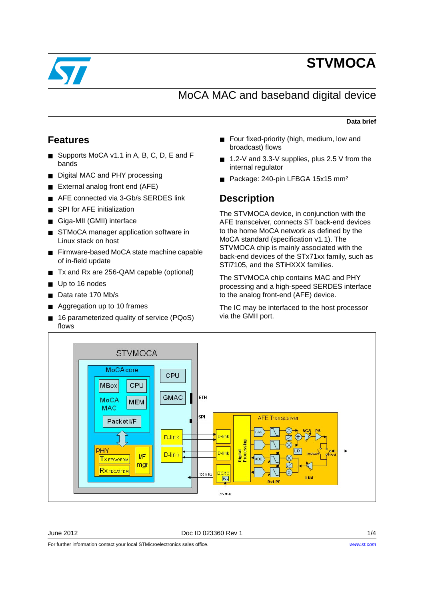

# **STVMOCA**

## MoCA MAC and baseband digital device

### **Data brief**

### **Features**

- Supports MoCA v1.1 in A, B, C, D, E and F bands
- Digital MAC and PHY processing
- External analog front end (AFE)
- AFE connected via 3-Gb/s SERDES link
- SPI for AFE initialization
- Giga-MII (GMII) interface
- STMoCA manager application software in Linux stack on host
- Firmware-based MoCA state machine capable of in-field update
- Tx and Rx are 256-QAM capable (optional)
- Up to 16 nodes
- Data rate 170 Mb/s
- Aggregation up to 10 frames
- 16 parameterized quality of service (PQoS) flows
- Four fixed-priority (high, medium, low and broadcast) flows
- 1.2-V and 3.3-V supplies, plus 2.5 V from the internal regulator
- Package: 240-pin LFBGA 15x15 mm<sup>2</sup>

### **Description**

The STVMOCA device, in conjunction with the AFE transceiver, connects ST back-end devices to the home MoCA network as defined by the MoCA standard (specification v1.1). The STVMOCA chip is mainly associated with the back-end devices of the STx71xx family, such as STi7105, and the STiHXXX families.

The STVMOCA chip contains MAC and PHY processing and a high-speed SERDES interface to the analog front-end (AFE) device.

The IC may be interfaced to the host processor via the GMII port.



June 2012 Doc ID 023360 Rev 1 1/4

For further information contact your local STMicroelectronics sales office.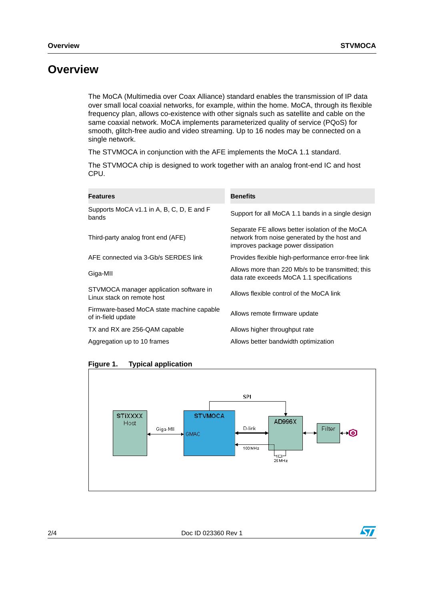## **Overview**

The MoCA (Multimedia over Coax Alliance) standard enables the transmission of IP data over small local coaxial networks, for example, within the home. MoCA, through its flexible frequency plan, allows co-existence with other signals such as satellite and cable on the same coaxial network. MoCA implements parameterized quality of service (PQoS) for smooth, glitch-free audio and video streaming. Up to 16 nodes may be connected on a single network.

The STVMOCA in conjunction with the AFE implements the MoCA 1.1 standard.

The STVMOCA chip is designed to work together with an analog front-end IC and host CPU.

| <b>Features</b>                                                       | <b>Benefits</b>                                                                                                                       |
|-----------------------------------------------------------------------|---------------------------------------------------------------------------------------------------------------------------------------|
| Supports MoCA v1.1 in A, B, C, D, E and F<br>bands                    | Support for all MoCA 1.1 bands in a single design                                                                                     |
| Third-party analog front end (AFE)                                    | Separate FE allows better isolation of the MoCA<br>network from noise generated by the host and<br>improves package power dissipation |
| AFE connected via 3-Gb/s SERDES link                                  | Provides flexible high-performance error-free link                                                                                    |
| Giga-MII                                                              | Allows more than 220 Mb/s to be transmitted; this<br>data rate exceeds MoCA 1.1 specifications                                        |
| STVMOCA manager application software in<br>Linux stack on remote host | Allows flexible control of the MoCA link                                                                                              |
| Firmware-based MoCA state machine capable<br>of in-field update       | Allows remote firmware update                                                                                                         |
| TX and RX are 256-QAM capable                                         | Allows higher throughput rate                                                                                                         |
| Aggregation up to 10 frames                                           | Allows better bandwidth optimization                                                                                                  |

**Figure 1. Typical application** 



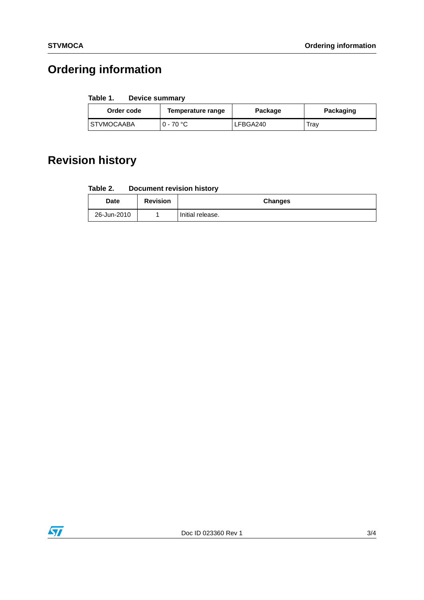## **Ordering information**

#### Table 1. **Device summary**

| Order code   | Temperature range | Package  | Packaging |
|--------------|-------------------|----------|-----------|
| I STVMOCAABA | $0 - 70$ °C       | LFBGA240 | Trav      |

## **Revision history**

| <b>Document revision history</b><br>Table 2. |  |
|----------------------------------------------|--|
|----------------------------------------------|--|

| <b>Date</b> | <b>Revision</b> | <b>Changes</b>   |
|-------------|-----------------|------------------|
| 26-Jun-2010 |                 | Initial release. |